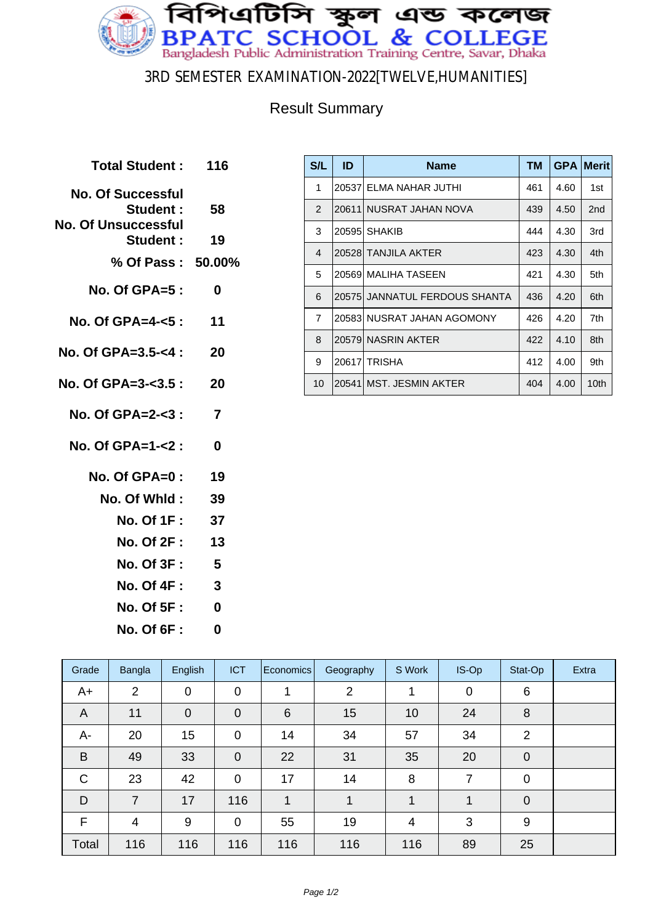

### 3RD SEMESTER EXAMINATION-2022[TWELVE,HUMANITIES]

### Result Summary

| Total Student: 116                                                 |                         |
|--------------------------------------------------------------------|-------------------------|
| <b>No. Of Successful</b><br>Student:<br><b>No. Of Unsuccessful</b> | 58                      |
| <b>Student:</b>                                                    | 19                      |
| % Of Pass : 50.00%                                                 |                         |
| <b>No. Of GPA=5:</b>                                               | 0                       |
| No. Of GPA=4-<5 :                                                  | 11                      |
| No. Of GPA=3.5-<4 :                                                | 20                      |
| No. Of GPA=3-<3.5 :                                                | 20                      |
| No. Of GPA=2-<3 :                                                  | $\overline{7}$          |
| No. Of GPA=1-<2:                                                   | $\bf{0}$                |
| No. Of GPA=0:                                                      | - 19                    |
| No. Of Whid :                                                      | 39                      |
| No. Of 1F :                                                        | 37                      |
| <b>No. Of 2F:</b>                                                  | 13                      |
| <b>No. Of 3F:</b>                                                  | -5                      |
| <b>No. Of 4F:</b>                                                  | $\overline{\mathbf{3}}$ |
| <b>No. Of 5F:</b>                                                  | 0                       |
| <b>No. Of 6F :</b>                                                 | 0                       |
|                                                                    |                         |

| S/L            | ID     | <b>Name</b>                   | TМ  | <b>GPA</b> | <b>Merit</b>    |
|----------------|--------|-------------------------------|-----|------------|-----------------|
| 1              |        | 20537 ELMA NAHAR JUTHI        | 461 | 4.60       | 1st             |
| $\mathcal{P}$  | 20611  | I NUSRAT JAHAN NOVA           | 439 | 4.50       | 2 <sub>nd</sub> |
| 3              |        | 20595 SHAKIB                  | 444 | 4.30       | 3rd             |
| $\overline{4}$ |        | 20528 TANJILA AKTER           | 423 | 4.30       | 4th             |
| 5              |        | 20569 MALIHA TASEEN           | 421 | 4.30       | 5th             |
| 6              |        | 20575 JANNATUL FERDOUS SHANTA | 436 | 4.20       | 6th             |
| $\overline{7}$ |        | 20583 NUSRAT JAHAN AGOMONY    | 426 | 4.20       | 7th             |
| 8              |        | 20579 NASRIN AKTER            | 422 | 4.10       | 8th             |
| 9              | 206171 | <b>TRISHA</b>                 | 412 | 4.00       | 9th             |
| 10             |        | 20541   MST. JESMIN AKTER     | 404 | 4.00       | 10th            |

| Grade | Bangla         | English | <b>ICT</b>     | Economics       | Geography      | S Work         | IS-Op       | Stat-Op     | Extra |
|-------|----------------|---------|----------------|-----------------|----------------|----------------|-------------|-------------|-------|
| $A+$  | $\overline{2}$ | 0       | $\mathbf 0$    |                 | $\overline{2}$ |                | $\mathbf 0$ | 6           |       |
| A     | 11             | 0       | $\overline{0}$ | $6\phantom{1}6$ | 15             | 10             | 24          | 8           |       |
| A-    | 20             | 15      | $\mathbf 0$    | 14              | 34             | 57             | 34          | 2           |       |
| B     | 49             | 33      | $\overline{0}$ | 22              | 31             | 35             | 20          | $\mathbf 0$ |       |
| C     | 23             | 42      | $\overline{0}$ | 17              | 14             | 8              | 7           | 0           |       |
| D     | 7              | 17      | 116            | 1               |                |                |             | $\mathbf 0$ |       |
| F     | $\overline{4}$ | 9       | $\mathbf 0$    | 55              | 19             | $\overline{4}$ | 3           | 9           |       |
| Total | 116            | 116     | 116            | 116             | 116            | 116            | 89          | 25          |       |